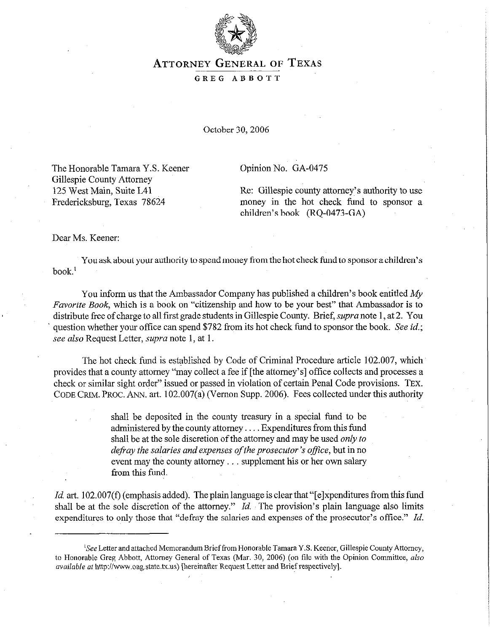

## **ATTORNEY GENERAL OF TEXAS**

## GREG ABBOTT

October 30,2006

The Honorable Tamara Y.S. Keener Gillespie County Attorney 125 West Main, Suite L41 Fredericksburg, Texas 78624

Opinion No. GA-0475

Re: Gillespie county attorney's authority to use money in the hot check fund to sponsor a children's book (RQ-0473-GA)

Dear Ms. Keener:

You ask about your authority to spend money from the hot check fund to sponsor a children's book.'

You inform us that the Ambassador Company has published a children's book entitled My *Favorite Book,* which is a book on "citizenship and how to be your best" that Ambassador is to distribute free of charge to all first grade students in Gillespie County. Brief, *supra* note 1, at 2. You question whether your office can spend \$782 from its hot check fund to sponsor the book. See *id.;*  see also Request Letter, *supra* note 1, at 1.

The hot check fund is established by Code of Criminal Procedure article 102.007, which' provides that a county attorney "may collect a fee if [the attorney's] office collects and processes a check or similar sight order" issued or passed in violation of certain Penal Code provisions. *TEX.*  CODE GRIM. PROC. ANN. art. 102.007(a) (Vernon Supp. 2006). Fees collected under this authority

> shall be deposited in the county treasury in a special fund to be administered by the county attorney.... Expenditures from this fund shall be at the sole discretion of the attorney and may be used *only to defray the salaries and expenses of the prosecutor's office, but in no* event may the county attorney . . . supplement his or her own salary from this fund.

Id. art. 102.007(f) (emphasis added). The plain language is clear that "[e]xpenditures from this fund shall be at the sole discretion of the attorney." *Id.* The provision's plain language also limits expenditures to only those that "defray the salaries and expenses of the prosecutor's office." *Id.* 

<sup>&#</sup>x27;See Letter and attached Memorandum Brief from Honorable Tamara Y.S. Keener, Gillespie County Attorney, to Honorable Greg Abbott, Attorney General of Texas (Mar. 30, 2006) (on file with the Opinion Committee, also available at http://www.oag.state.tx.us) [hereinafter Request Letter and Brief respectively].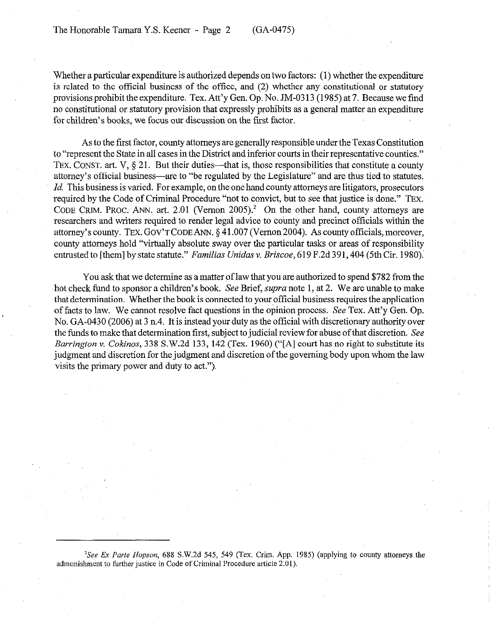Whether a particular expenditure is authorized depends on two factors: (1) whether the expenditure is related to the official business of the office, and (2) whether any constitutional or statutory provisions prohibit the expenditure. Tex. Att'y Gen. Op. No. JM-03 13 (1985) at 7. Because we find no constitutional or statutory provision that expressly prohibits as a general matter an expenditure for children's books, we focus our discussion on the first factor.

As to the first factor, county attorneys are generally responsible under the Texas Constitution to "represent the State in all cases in the District and inferior courts in their representative counties." TEX. CONST. art. V,  $\S 21$ . But their duties—that is, those responsibilities that constitute a county attorney's official business—are to "be regulated by the Legislature" and are thus tied to statutes. *Id.* This business is varied. For example, on the one hand county attorneys are litigators, prosecutors required by the Code of Criminal Procedure "not to convict, but to see that justice is done." TEX. CODE CRIM. PROC. ANN. art. 2.01 (Vernon 2005).<sup>2</sup> On the other hand, county attorneys are researchers and writers required to render legal advice to county and precinct officials within the attorney's county. TEX. GOV'TCODEANN. 5 41.007 (Vemon2004). As county officials, moreover, county attorneys hold "virtually absolute sway over the particular tasks or areas of responsibility entrusted to [them] by state statute." *Familias Unidas v. Briscoe*, 619 F.2d 391, 404 (5th Cir. 1980).

You ask that we determine as a matter of law that you are authorized to spend \$782 from the hot check fund to sponsor a children's book. See Brief, *supra* note 1, at 2. We are unable to make that determination. Whether the book is connected to your official business requires the application of facts to law. We cannot resolve fact questions in the opinion process. See Tex. Att'y Gen. Op. No. GA-0430 (2006) at 3 n.4. It is instead your duty as the official with discretionaryauthority over the funds to make that determination first, subject to judicial review for abuse of that discretion. See *Barrington* v. *Cokinos,* 338 S.W.2d 133, 142 (Tex. 1960) ("[A] court has no right to substitute its judgment and discretion for the judgment and discretion of the governing body upon whom the law visits the primary power and duty to act.").

<sup>2</sup>See Ex Parte Hopson, 688 S.W.2d 545, 549 (Tex. Crim. App. 1985) (applying to county attorneys the admonishment to further justice in Code of Criminal Procedure article 2.01).